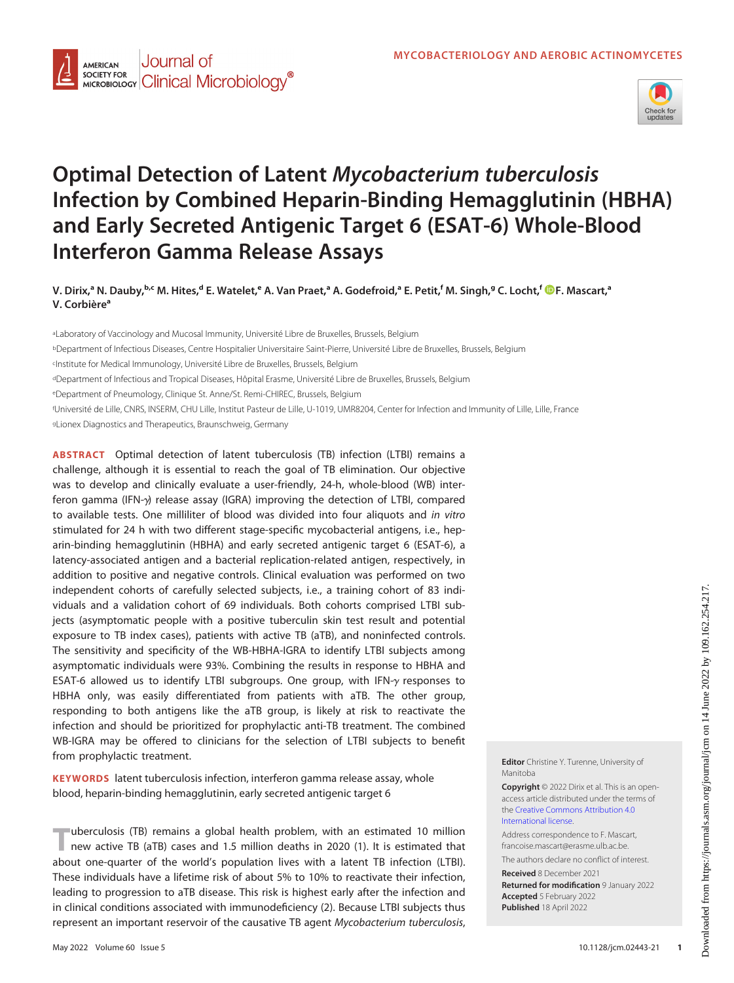



# Optimal Detection of Latent Mycobacterium tuberculosis Infection by Combined Heparin-Binding Hemagglutinin (HBHA) and Early Secreted Antigenic Target 6 (ESAT-6) Whole-Blood Interferon Gamma Release Assays

V. Dirix,ª N. Dauby,<sup>b.c</sup> M. Hites,<sup>d</sup> E. Watelet,<sup>e</sup> A. Van Praet,ª A. Godefroid,ª E. Petit,<sup>f</sup> M. Singh,ª C. Locht,<sup>f</sup> D[F. Mascart](https://orcid.org/0000-0001-7635-7944),ª V. Corbière<sup>a</sup>

aLaboratory of Vaccinology and Mucosal Immunity, Université Libre de Bruxelles, Brussels, Belgium bDepartment of Infectious Diseases, Centre Hospitalier Universitaire Saint-Pierre, Université Libre de Bruxelles, Brussels, Belgium cInstitute for Medical Immunology, Université Libre de Bruxelles, Brussels, Belgium dDepartment of Infectious and Tropical Diseases, Hôpital Erasme, Université Libre de Bruxelles, Brussels, Belgium eDepartment of Pneumology, Clinique St. Anne/St. Remi-CHIREC, Brussels, Belgium f Université de Lille, CNRS, INSERM, CHU Lille, Institut Pasteur de Lille, U-1019, UMR8204, Center for Infection and Immunity of Lille, Lille, France gLionex Diagnostics and Therapeutics, Braunschweig, Germany

ABSTRACT Optimal detection of latent tuberculosis (TB) infection (LTBI) remains a challenge, although it is essential to reach the goal of TB elimination. Our objective was to develop and clinically evaluate a user-friendly, 24-h, whole-blood (WB) interferon gamma (IFN-y) release assay (IGRA) improving the detection of LTBI, compared to available tests. One milliliter of blood was divided into four aliquots and in vitro stimulated for 24 h with two different stage-specific mycobacterial antigens, i.e., heparin-binding hemagglutinin (HBHA) and early secreted antigenic target 6 (ESAT-6), a latency-associated antigen and a bacterial replication-related antigen, respectively, in addition to positive and negative controls. Clinical evaluation was performed on two independent cohorts of carefully selected subjects, i.e., a training cohort of 83 individuals and a validation cohort of 69 individuals. Both cohorts comprised LTBI subjects (asymptomatic people with a positive tuberculin skin test result and potential exposure to TB index cases), patients with active TB (aTB), and noninfected controls. The sensitivity and specificity of the WB-HBHA-IGRA to identify LTBI subjects among asymptomatic individuals were 93%. Combining the results in response to HBHA and ESAT-6 allowed us to identify LTBI subgroups. One group, with IFN- $\gamma$  responses to HBHA only, was easily differentiated from patients with aTB. The other group, responding to both antigens like the aTB group, is likely at risk to reactivate the infection and should be prioritized for prophylactic anti-TB treatment. The combined WB-IGRA may be offered to clinicians for the selection of LTBI subjects to benefit from prophylactic treatment.

KEYWORDS latent tuberculosis infection, interferon gamma release assay, whole blood, heparin-binding hemagglutinin, early secreted antigenic target 6

"uberculosis (TB) remains a global health problem, with an estimated 10 million new active TB (aTB) cases and 1.5 million deaths in 2020 ([1\)](#page-10-0). It is estimated that about one-quarter of the world's population lives with a latent TB infection (LTBI). These individuals have a lifetime risk of about 5% to 10% to reactivate their infection, leading to progression to aTB disease. This risk is highest early after the infection and in clinical conditions associated with immunodeficiency [\(2\)](#page-10-1). Because LTBI subjects thus represent an important reservoir of the causative TB agent Mycobacterium tuberculosis, Editor Christine Y. Turenne, University of Manitoba

Copyright © 2022 Dirix et al. This is an openaccess article distributed under the terms of the [Creative Commons Attribution 4.0](https://creativecommons.org/licenses/by/4.0/) [International license](https://creativecommons.org/licenses/by/4.0/).

Address correspondence to F. Mascart, francoise.mascart@erasme.ulb.ac.be.

The authors declare no conflict of interest. Received 8 December 2021

Returned for modification 9 January 2022 Accepted 5 February 2022 Published 18 April 2022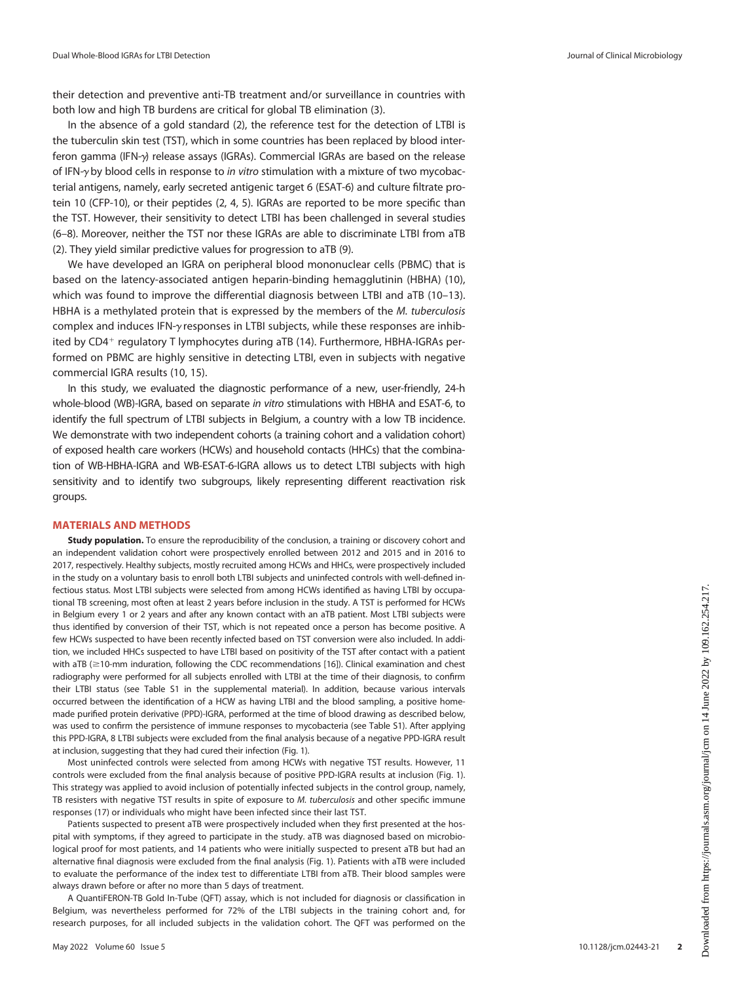their detection and preventive anti-TB treatment and/or surveillance in countries with both low and high TB burdens are critical for global TB elimination [\(3\)](#page-10-2).

In the absence of a gold standard [\(2\)](#page-10-1), the reference test for the detection of LTBI is the tuberculin skin test (TST), which in some countries has been replaced by blood interferon gamma (IFN-y) release assays (IGRAs). Commercial IGRAs are based on the release of IFN- $\gamma$  by blood cells in response to in vitro stimulation with a mixture of two mycobacterial antigens, namely, early secreted antigenic target 6 (ESAT-6) and culture filtrate protein 10 (CFP-10), or their peptides ([2](#page-10-1), [4](#page-10-3), [5](#page-10-4)). IGRAs are reported to be more specific than the TST. However, their sensitivity to detect LTBI has been challenged in several studies [\(6](#page-10-5)[–](#page-10-6)[8](#page-10-7)). Moreover, neither the TST nor these IGRAs are able to discriminate LTBI from aTB [\(2](#page-10-1)). They yield similar predictive values for progression to aTB ([9](#page-10-8)).

We have developed an IGRA on peripheral blood mononuclear cells (PBMC) that is based on the latency-associated antigen heparin-binding hemagglutinin (HBHA) [\(10\)](#page-10-9), which was found to improve the differential diagnosis between LTBI and aTB ([10](#page-10-9)-[13\)](#page-10-10). HBHA is a methylated protein that is expressed by the members of the M. tuberculosis complex and induces IFN- $\gamma$  responses in LTBI subjects, while these responses are inhib-ited by CD4<sup>+</sup> regulatory T lymphocytes during aTB ([14\)](#page-11-0). Furthermore, HBHA-IGRAs performed on PBMC are highly sensitive in detecting LTBI, even in subjects with negative commercial IGRA results [\(10,](#page-10-9) [15\)](#page-11-1).

In this study, we evaluated the diagnostic performance of a new, user-friendly, 24-h whole-blood (WB)-IGRA, based on separate in vitro stimulations with HBHA and ESAT-6, to identify the full spectrum of LTBI subjects in Belgium, a country with a low TB incidence. We demonstrate with two independent cohorts (a training cohort and a validation cohort) of exposed health care workers (HCWs) and household contacts (HHCs) that the combination of WB-HBHA-IGRA and WB-ESAT-6-IGRA allows us to detect LTBI subjects with high sensitivity and to identify two subgroups, likely representing different reactivation risk groups.

#### MATERIALS AND METHODS

Study population. To ensure the reproducibility of the conclusion, a training or discovery cohort and an independent validation cohort were prospectively enrolled between 2012 and 2015 and in 2016 to 2017, respectively. Healthy subjects, mostly recruited among HCWs and HHCs, were prospectively included in the study on a voluntary basis to enroll both LTBI subjects and uninfected controls with well-defined infectious status. Most LTBI subjects were selected from among HCWs identified as having LTBI by occupational TB screening, most often at least 2 years before inclusion in the study. A TST is performed for HCWs in Belgium every 1 or 2 years and after any known contact with an aTB patient. Most LTBI subjects were thus identified by conversion of their TST, which is not repeated once a person has become positive. A few HCWs suspected to have been recently infected based on TST conversion were also included. In addition, we included HHCs suspected to have LTBI based on positivity of the TST after contact with a patient with aTB ( $\geq$ 10-mm induration, following the CDC recommendations [\[16\]](#page-11-2)). Clinical examination and chest radiography were performed for all subjects enrolled with LTBI at the time of their diagnosis, to confirm their LTBI status (see Table S1 in the supplemental material). In addition, because various intervals occurred between the identification of a HCW as having LTBI and the blood sampling, a positive homemade purified protein derivative (PPD)-IGRA, performed at the time of blood drawing as described below, was used to confirm the persistence of immune responses to mycobacteria (see Table S1). After applying this PPD-IGRA, 8 LTBI subjects were excluded from the final analysis because of a negative PPD-IGRA result at inclusion, suggesting that they had cured their infection ([Fig. 1](#page-2-0)).

Most uninfected controls were selected from among HCWs with negative TST results. However, 11 controls were excluded from the final analysis because of positive PPD-IGRA results at inclusion [\(Fig. 1](#page-2-0)). This strategy was applied to avoid inclusion of potentially infected subjects in the control group, namely, TB resisters with negative TST results in spite of exposure to M. tuberculosis and other specific immune responses [\(17](#page-11-3)) or individuals who might have been infected since their last TST.

Patients suspected to present aTB were prospectively included when they first presented at the hospital with symptoms, if they agreed to participate in the study. aTB was diagnosed based on microbiological proof for most patients, and 14 patients who were initially suspected to present aTB but had an alternative final diagnosis were excluded from the final analysis ([Fig. 1\)](#page-2-0). Patients with aTB were included to evaluate the performance of the index test to differentiate LTBI from aTB. Their blood samples were always drawn before or after no more than 5 days of treatment.

A QuantiFERON-TB Gold In-Tube (QFT) assay, which is not included for diagnosis or classification in Belgium, was nevertheless performed for 72% of the LTBI subjects in the training cohort and, for research purposes, for all included subjects in the validation cohort. The QFT was performed on the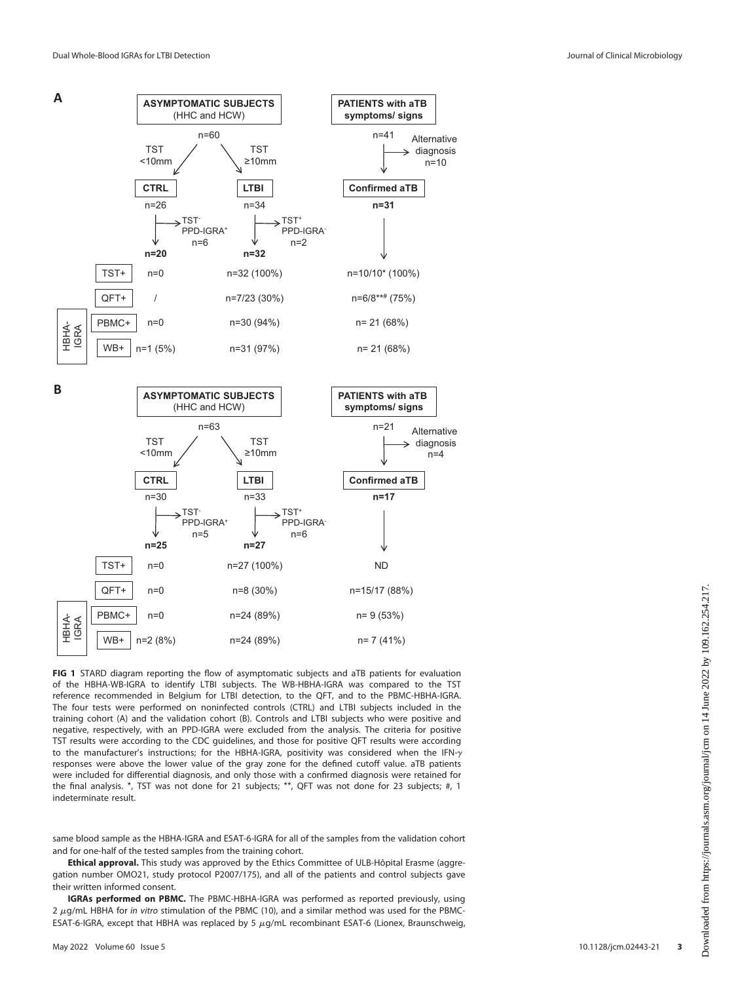

<span id="page-2-0"></span>FIG 1 STARD diagram reporting the flow of asymptomatic subjects and aTB patients for evaluation of the HBHA-WB-IGRA to identify LTBI subjects. The WB-HBHA-IGRA was compared to the TST reference recommended in Belgium for LTBI detection, to the QFT, and to the PBMC-HBHA-IGRA. The four tests were performed on noninfected controls (CTRL) and LTBI subjects included in the training cohort (A) and the validation cohort (B). Controls and LTBI subjects who were positive and negative, respectively, with an PPD-IGRA were excluded from the analysis. The criteria for positive TST results were according to the CDC guidelines, and those for positive QFT results were according to the manufacturer's instructions; for the HBHA-IGRA, positivity was considered when the IFN- $\gamma$ responses were above the lower value of the gray zone for the defined cutoff value. aTB patients were included for differential diagnosis, and only those with a confirmed diagnosis were retained for the final analysis. \*, TST was not done for 21 subjects; \*\*, QFT was not done for 23 subjects; #, 1 indeterminate result.

same blood sample as the HBHA-IGRA and ESAT-6-IGRA for all of the samples from the validation cohort and for one-half of the tested samples from the training cohort.

Ethical approval. This study was approved by the Ethics Committee of ULB-Hôpital Erasme (aggregation number OMO21, study protocol P2007/175), and all of the patients and control subjects gave their written informed consent.

IGRAs performed on PBMC. The PBMC-HBHA-IGRA was performed as reported previously, using  $2 \mu g/mL$  HBHA for in vitro stimulation of the PBMC [\(10\)](#page-10-9), and a similar method was used for the PBMC-ESAT-6-IGRA, except that HBHA was replaced by 5  $\mu$ g/mL recombinant ESAT-6 (Lionex, Braunschweig,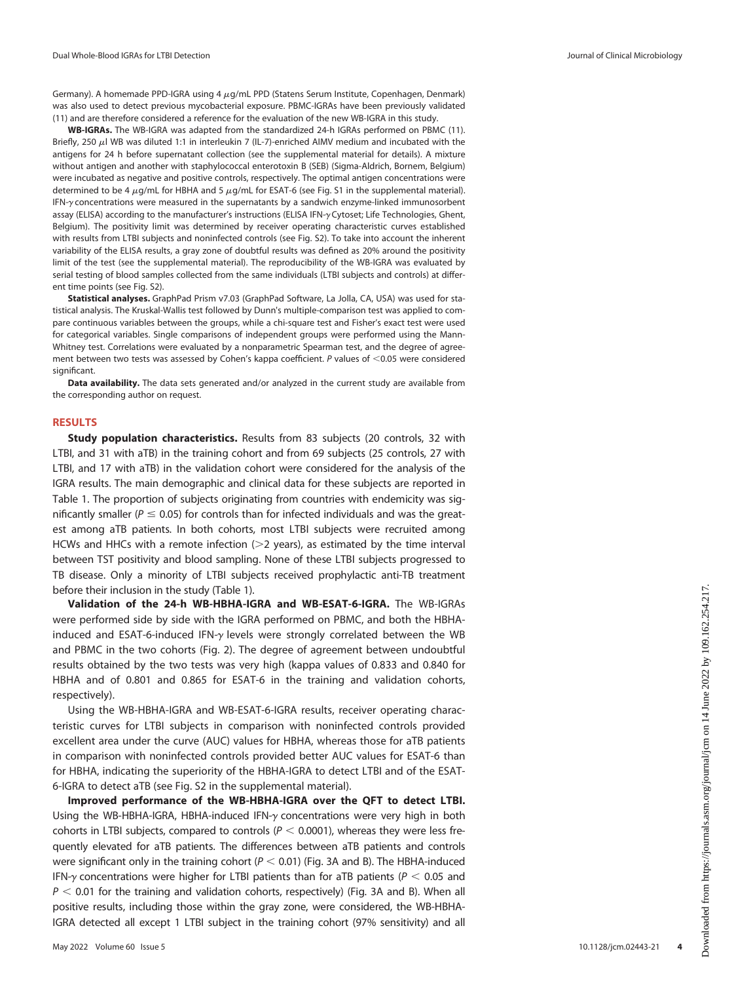Germany). A homemade PPD-IGRA using 4  $\mu$ g/mL PPD (Statens Serum Institute, Copenhagen, Denmark) was also used to detect previous mycobacterial exposure. PBMC-IGRAs have been previously validated [\(11\)](#page-10-11) and are therefore considered a reference for the evaluation of the new WB-IGRA in this study.

WB-IGRAs. The WB-IGRA was adapted from the standardized 24-h IGRAs performed on PBMC ([11](#page-10-11)). Briefly, 250  $\mu$ l WB was diluted 1:1 in interleukin 7 (IL-7)-enriched AIMV medium and incubated with the antigens for 24 h before supernatant collection (see the supplemental material for details). A mixture without antigen and another with staphylococcal enterotoxin B (SEB) (Sigma-Aldrich, Bornem, Belgium) were incubated as negative and positive controls, respectively. The optimal antigen concentrations were determined to be 4  $\mu$ g/mL for HBHA and 5  $\mu$ g/mL for ESAT-6 (see Fig. S1 in the supplemental material). IFN-y concentrations were measured in the supernatants by a sandwich enzyme-linked immunosorbent assay (ELISA) according to the manufacturer's instructions (ELISA IFN-y Cytoset; Life Technologies, Ghent, Belgium). The positivity limit was determined by receiver operating characteristic curves established with results from LTBI subjects and noninfected controls (see Fig. S2). To take into account the inherent variability of the ELISA results, a gray zone of doubtful results was defined as 20% around the positivity limit of the test (see the supplemental material). The reproducibility of the WB-IGRA was evaluated by serial testing of blood samples collected from the same individuals (LTBI subjects and controls) at different time points (see Fig. S2).

Statistical analyses. GraphPad Prism v7.03 (GraphPad Software, La Jolla, CA, USA) was used for statistical analysis. The Kruskal-Wallis test followed by Dunn's multiple-comparison test was applied to compare continuous variables between the groups, while a chi-square test and Fisher's exact test were used for categorical variables. Single comparisons of independent groups were performed using the Mann-Whitney test. Correlations were evaluated by a nonparametric Spearman test, and the degree of agreement between two tests was assessed by Cohen's kappa coefficient. P values of  $<$ 0.05 were considered significant.

Data availability. The data sets generated and/or analyzed in the current study are available from the corresponding author on request.

#### RESULTS

**Study population characteristics.** Results from 83 subjects (20 controls, 32 with LTBI, and 31 with aTB) in the training cohort and from 69 subjects (25 controls, 27 with LTBI, and 17 with aTB) in the validation cohort were considered for the analysis of the IGRA results. The main demographic and clinical data for these subjects are reported in [Table 1](#page-4-0). The proportion of subjects originating from countries with endemicity was significantly smaller ( $P \le 0.05$ ) for controls than for infected individuals and was the greatest among aTB patients. In both cohorts, most LTBI subjects were recruited among HCWs and HHCs with a remote infection  $(>= 2$  years), as estimated by the time interval between TST positivity and blood sampling. None of these LTBI subjects progressed to TB disease. Only a minority of LTBI subjects received prophylactic anti-TB treatment before their inclusion in the study ([Table 1\)](#page-4-0).

Validation of the 24-h WB-HBHA-IGRA and WB-ESAT-6-IGRA. The WB-IGRAs were performed side by side with the IGRA performed on PBMC, and both the HBHAinduced and ESAT-6-induced IFN- $\gamma$  levels were strongly correlated between the WB and PBMC in the two cohorts ([Fig. 2\)](#page-5-0). The degree of agreement between undoubtful results obtained by the two tests was very high (kappa values of 0.833 and 0.840 for HBHA and of 0.801 and 0.865 for ESAT-6 in the training and validation cohorts, respectively).

Using the WB-HBHA-IGRA and WB-ESAT-6-IGRA results, receiver operating characteristic curves for LTBI subjects in comparison with noninfected controls provided excellent area under the curve (AUC) values for HBHA, whereas those for aTB patients in comparison with noninfected controls provided better AUC values for ESAT-6 than for HBHA, indicating the superiority of the HBHA-IGRA to detect LTBI and of the ESAT-6-IGRA to detect aTB (see Fig. S2 in the supplemental material).

Improved performance of the WB-HBHA-IGRA over the QFT to detect LTBI. Using the WB-HBHA-IGRA, HBHA-induced IFN-y concentrations were very high in both cohorts in LTBI subjects, compared to controls ( $P < 0.0001$ ), whereas they were less frequently elevated for aTB patients. The differences between aTB patients and controls were significant only in the training cohort ( $P < 0.01$ ) ([Fig. 3A](#page-6-0) and [B\)](#page-6-0). The HBHA-induced IFN- $\gamma$  concentrations were higher for LTBI patients than for aTB patients ( $P < 0.05$  and  $P < 0.01$  for the training and validation cohorts, respectively) [\(Fig. 3A](#page-6-0) and [B\)](#page-6-0). When all positive results, including those within the gray zone, were considered, the WB-HBHA-IGRA detected all except 1 LTBI subject in the training cohort (97% sensitivity) and all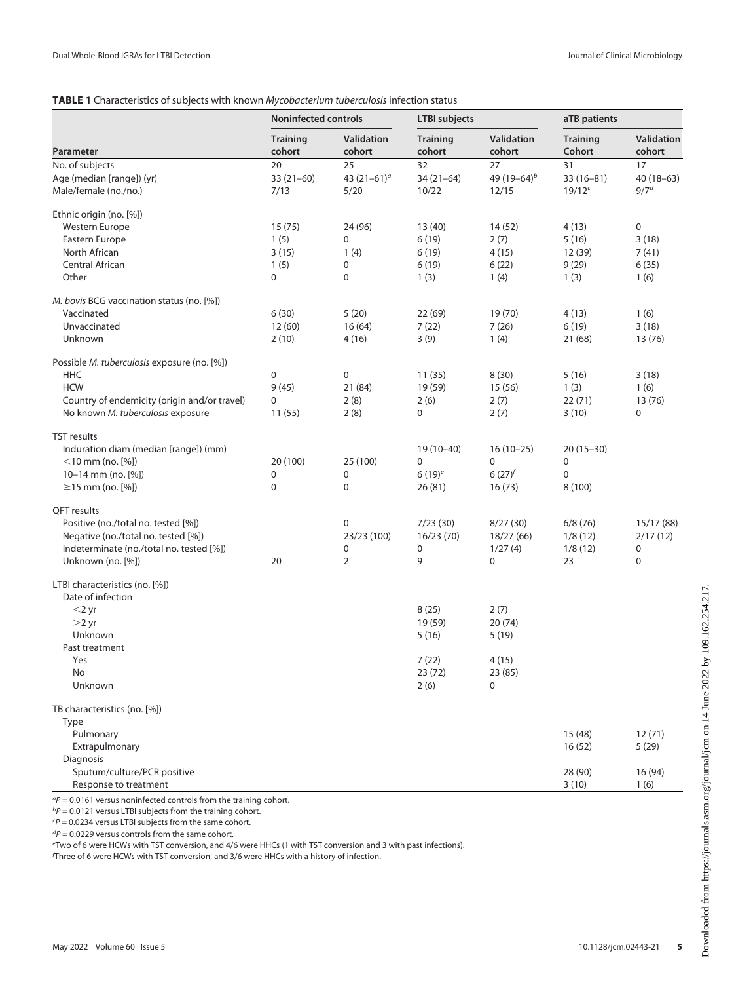# <span id="page-4-0"></span>TABLE 1 Characteristics of subjects with known Mycobacterium tuberculosis infection status

|                                                     |                           | <b>Noninfected controls</b> |                           | <b>LTBI</b> subjects    |                           | aTB patients                |  |
|-----------------------------------------------------|---------------------------|-----------------------------|---------------------------|-------------------------|---------------------------|-----------------------------|--|
| Parameter                                           | <b>Training</b><br>cohort | Validation<br>cohort        | <b>Training</b><br>cohort | Validation<br>cohort    | <b>Training</b><br>Cohort | <b>Validation</b><br>cohort |  |
| No. of subjects                                     | 20                        | 25                          | 32                        | 27                      | 31                        | 17                          |  |
| Age (median [range]) (yr)                           | $33(21-60)$               | 43 $(21-61)^a$              | $34(21-64)$               | 49 (19-64) <sup>b</sup> | $33(16-81)$               | $40(18-63)$                 |  |
| Male/female (no./no.)                               | 7/13                      | 5/20                        | 10/22                     | 12/15                   | 19/12c                    | 9/7 <sup>d</sup>            |  |
| Ethnic origin (no. [%])                             |                           |                             |                           |                         |                           |                             |  |
| <b>Western Europe</b>                               | 15(75)                    | 24 (96)                     | 13 (40)                   | 14(52)                  | 4 (13)                    | 0                           |  |
| Eastern Europe                                      | 1(5)                      | $\mathbf 0$                 | 6(19)                     | 2(7)                    | 5(16)                     | 3(18)                       |  |
| North African                                       | 3(15)                     | 1(4)                        | 6(19)                     | 4(15)                   | 12 (39)                   | 7(41)                       |  |
| Central African                                     | 1(5)                      | 0                           | 6(19)                     | 6(22)                   | 9(29)                     | 6(35)                       |  |
| Other                                               | $\mathbf 0$               | $\mathbf 0$                 | 1(3)                      | 1(4)                    | 1(3)                      | 1(6)                        |  |
| M. bovis BCG vaccination status (no. [%])           |                           |                             |                           |                         |                           |                             |  |
| Vaccinated                                          | 6(30)                     | 5(20)                       | 22(69)                    | 19 (70)                 | 4(13)                     | 1(6)                        |  |
| Unvaccinated                                        | 12(60)                    | 16(64)                      | 7(22)                     | 7(26)                   | 6(19)                     | 3(18)                       |  |
| Unknown                                             | 2(10)                     | 4(16)                       | 3(9)                      | 1(4)                    | 21 (68)                   | 13 (76)                     |  |
| Possible M. tuberculosis exposure (no. [%])         |                           |                             |                           |                         |                           |                             |  |
| HHC                                                 | $\pmb{0}$                 | $\mathbf 0$                 | 11(35)                    | 8(30)                   | 5(16)                     | 3(18)                       |  |
| <b>HCW</b>                                          | 9(45)                     | 21 (84)                     | 19 (59)                   | 15(56)                  | 1(3)                      | 1(6)                        |  |
| Country of endemicity (origin and/or travel)        | 0                         | 2(8)                        | 2(6)                      | 2(7)                    | 22(71)                    | 13 (76)                     |  |
| No known M. tuberculosis exposure                   | 11(55)                    | 2(8)                        | $\mathbf 0$               | 2(7)                    | 3(10)                     | 0                           |  |
| <b>TST</b> results                                  |                           |                             |                           |                         |                           |                             |  |
| Induration diam (median [range]) (mm)               |                           |                             | 19 (10-40)                | $16(10-25)$             | $20(15-30)$               |                             |  |
| $<$ 10 mm (no. [%])                                 | 20 (100)                  | 25 (100)                    | 0                         | 0                       | 0                         |                             |  |
| 10-14 mm (no. [%])                                  | $\pmb{0}$                 | 0                           | $6(19)^e$                 | $6(27)^{f}$             | 0                         |                             |  |
| $\geq$ 15 mm (no. [%])                              | $\pmb{0}$                 | $\mathbf 0$                 | 26(81)                    | 16(73)                  | 8 (100)                   |                             |  |
| QFT results                                         |                           |                             |                           |                         |                           |                             |  |
| Positive (no./total no. tested [%])                 |                           | $\mathbf 0$                 | 7/23(30)                  | 8/27(30)                | 6/8(76)                   | 15/17 (88)                  |  |
| Negative (no./total no. tested [%])                 |                           | 23/23 (100)                 | 16/23(70)                 | 18/27 (66)              | 1/8(12)                   | 2/17(12)                    |  |
| Indeterminate (no./total no. tested [%])            |                           | 0                           | $\pmb{0}$                 | 1/27(4)                 | 1/8(12)                   | 0                           |  |
| Unknown (no. [%])                                   | 20                        | $\overline{2}$              | 9                         | 0                       | 23                        | $\boldsymbol{0}$            |  |
| LTBI characteristics (no. [%])<br>Date of infection |                           |                             |                           |                         |                           |                             |  |
| $<$ 2 yr                                            |                           |                             | 8(25)                     | 2(7)                    |                           |                             |  |
| $>2$ yr                                             |                           |                             | 19 (59)                   | 20(74)                  |                           |                             |  |
| Unknown                                             |                           |                             | 5(16)                     | 5 (19)                  |                           |                             |  |
| Past treatment                                      |                           |                             |                           |                         |                           |                             |  |
| Yes                                                 |                           |                             | 7(22)                     | 4(15)                   |                           |                             |  |
| No                                                  |                           |                             | 23 (72)                   | 23 (85)                 |                           |                             |  |
| Unknown                                             |                           |                             | 2(6)                      | 0                       |                           |                             |  |
| TB characteristics (no. [%])                        |                           |                             |                           |                         |                           |                             |  |
| Type                                                |                           |                             |                           |                         |                           |                             |  |
| Pulmonary                                           |                           |                             |                           |                         | 15(48)                    | 12(71)                      |  |
| Extrapulmonary                                      |                           |                             |                           |                         | 16 (52)                   | 5(29)                       |  |
| Diagnosis                                           |                           |                             |                           |                         |                           |                             |  |
| Sputum/culture/PCR positive                         |                           |                             |                           |                         | 28 (90)                   | 16 (94)                     |  |
| Response to treatment                               |                           |                             |                           |                         | 3(10)                     | 1(6)                        |  |

 ${}^{a}P = 0.0161$  versus noninfected controls from the training cohort.

 $bP = 0.0121$  versus LTBI subjects from the training cohort.

 $\epsilon P = 0.0234$  versus LTBI subjects from the same cohort.

 ${}^{d}P$  = 0.0229 versus controls from the same cohort.

<sup>e</sup>Two of 6 were HCWs with TST conversion, and 4/6 were HHCs (1 with TST conversion and 3 with past infections).

f Three of 6 were HCWs with TST conversion, and 3/6 were HHCs with a history of infection.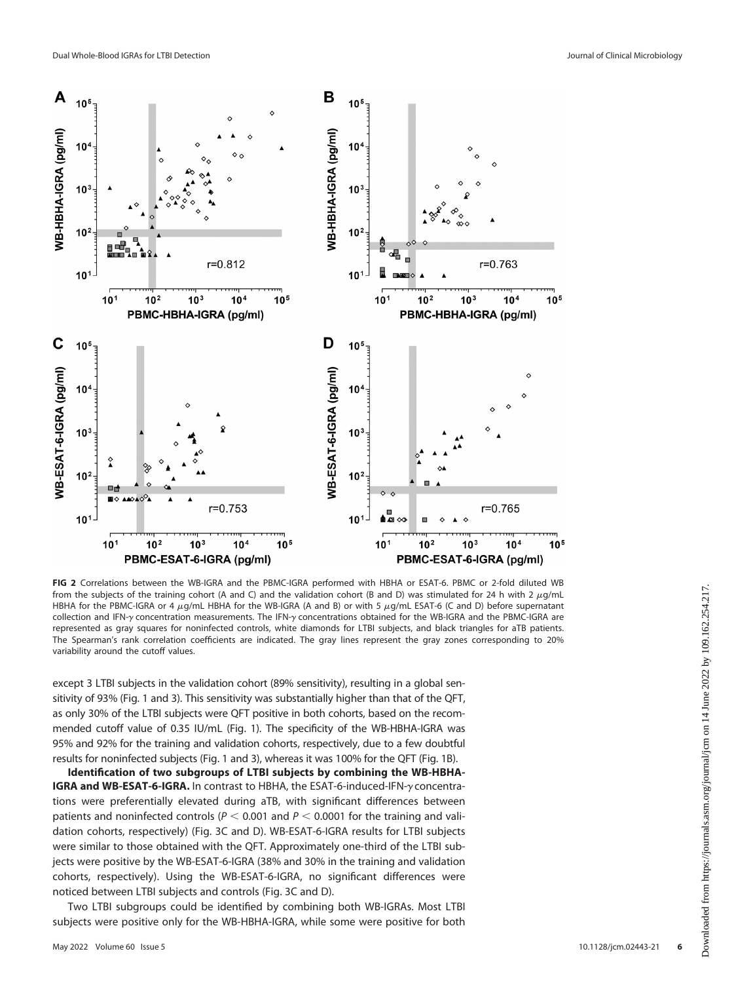

<span id="page-5-0"></span>FIG 2 Correlations between the WB-IGRA and the PBMC-IGRA performed with HBHA or ESAT-6. PBMC or 2-fold diluted WB from the subjects of the training cohort (A and C) and the validation cohort (B and D) was stimulated for 24 h with 2  $\mu$ g/mL HBHA for the PBMC-IGRA or 4  $\mu$ g/mL HBHA for the WB-IGRA (A and B) or with 5  $\mu$ g/mL ESAT-6 (C and D) before supernatant collection and IFN- $\gamma$  concentration measurements. The IFN- $\gamma$  concentrations obtained for the WB-IGRA and the PBMC-IGRA are represented as gray squares for noninfected controls, white diamonds for LTBI subjects, and black triangles for aTB patients. The Spearman's rank correlation coefficients are indicated. The gray lines represent the gray zones corresponding to 20% variability around the cutoff values.

except 3 LTBI subjects in the validation cohort (89% sensitivity), resulting in a global sensitivity of 93% [\(Fig. 1](#page-2-0) and [3](#page-6-0)). This sensitivity was substantially higher than that of the QFT, as only 30% of the LTBI subjects were QFT positive in both cohorts, based on the recommended cutoff value of 0.35 IU/mL [\(Fig. 1](#page-2-0)). The specificity of the WB-HBHA-IGRA was 95% and 92% for the training and validation cohorts, respectively, due to a few doubtful results for noninfected subjects ([Fig. 1](#page-2-0) and [3\)](#page-6-0), whereas it was 100% for the QFT [\(Fig. 1B\)](#page-2-0).

Identification of two subgroups of LTBI subjects by combining the WB-HBHA-IGRA and WB-ESAT-6-IGRA. In contrast to HBHA, the ESAT-6-induced-IFN-y concentrations were preferentially elevated during aTB, with significant differences between patients and noninfected controls ( $P < 0.001$  and  $P < 0.0001$  for the training and validation cohorts, respectively) [\(Fig. 3C](#page-6-0) and [D\)](#page-6-0). WB-ESAT-6-IGRA results for LTBI subjects were similar to those obtained with the QFT. Approximately one-third of the LTBI subjects were positive by the WB-ESAT-6-IGRA (38% and 30% in the training and validation cohorts, respectively). Using the WB-ESAT-6-IGRA, no significant differences were noticed between LTBI subjects and controls ([Fig. 3C](#page-6-0) and [D\)](#page-6-0).

Two LTBI subgroups could be identified by combining both WB-IGRAs. Most LTBI subjects were positive only for the WB-HBHA-IGRA, while some were positive for both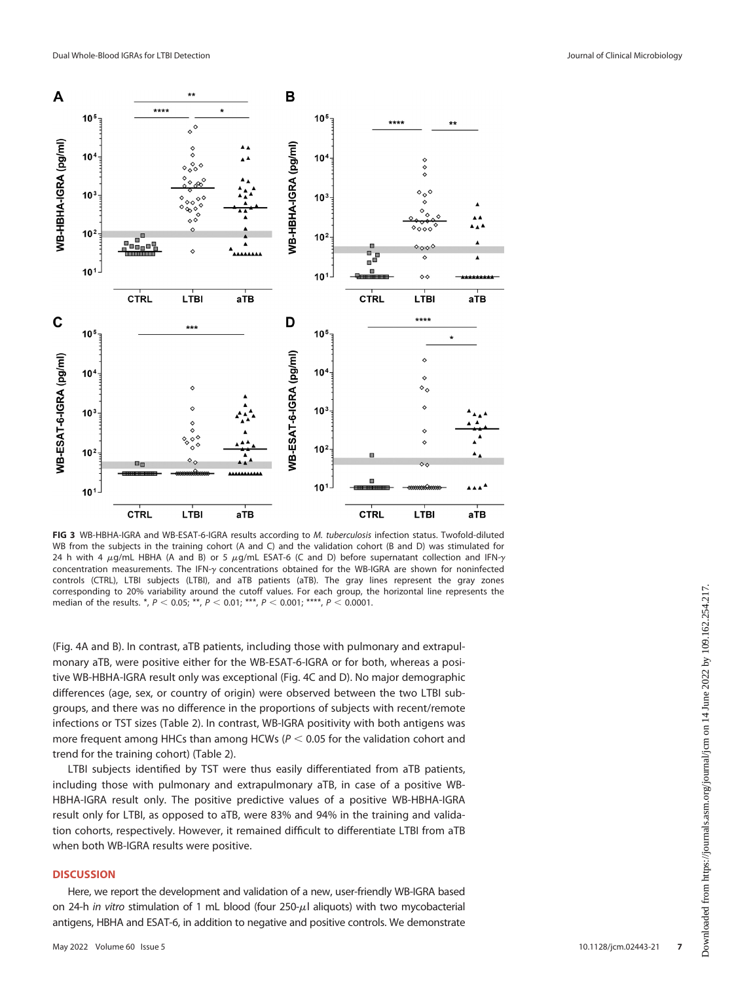

<span id="page-6-0"></span>FIG 3 WB-HBHA-IGRA and WB-ESAT-6-IGRA results according to M. tuberculosis infection status. Twofold-diluted WB from the subjects in the training cohort (A and C) and the validation cohort (B and D) was stimulated for 24 h with 4  $\mu$ g/mL HBHA (A and B) or 5  $\mu$ g/mL ESAT-6 (C and D) before supernatant collection and IFN- $\gamma$ concentration measurements. The IFN- $\gamma$  concentrations obtained for the WB-IGRA are shown for noninfected controls (CTRL), LTBI subjects (LTBI), and aTB patients (aTB). The gray lines represent the gray zones corresponding to 20% variability around the cutoff values. For each group, the horizontal line represents the median of the results. \*,  $P < 0.05$ ; \*\*,  $P < 0.01$ ; \*\*\*,  $P < 0.001$ ; \*\*\*\*,  $P < 0.0001$ .

([Fig. 4A](#page-7-0) and [B](#page-7-0)). In contrast, aTB patients, including those with pulmonary and extrapulmonary aTB, were positive either for the WB-ESAT-6-IGRA or for both, whereas a positive WB-HBHA-IGRA result only was exceptional [\(Fig. 4C](#page-7-0) and [D](#page-7-0)). No major demographic differences (age, sex, or country of origin) were observed between the two LTBI subgroups, and there was no difference in the proportions of subjects with recent/remote infections or TST sizes ([Table 2\)](#page-8-0). In contrast, WB-IGRA positivity with both antigens was more frequent among HHCs than among HCWs ( $P < 0.05$  for the validation cohort and trend for the training cohort) [\(Table 2\)](#page-8-0).

LTBI subjects identified by TST were thus easily differentiated from aTB patients, including those with pulmonary and extrapulmonary aTB, in case of a positive WB-HBHA-IGRA result only. The positive predictive values of a positive WB-HBHA-IGRA result only for LTBI, as opposed to aTB, were 83% and 94% in the training and validation cohorts, respectively. However, it remained difficult to differentiate LTBI from aTB when both WB-IGRA results were positive.

#### **DISCUSSION**

Here, we report the development and validation of a new, user-friendly WB-IGRA based on 24-h in vitro stimulation of 1 mL blood (four 250- $\mu$ l aliquots) with two mycobacterial antigens, HBHA and ESAT-6, in addition to negative and positive controls. We demonstrate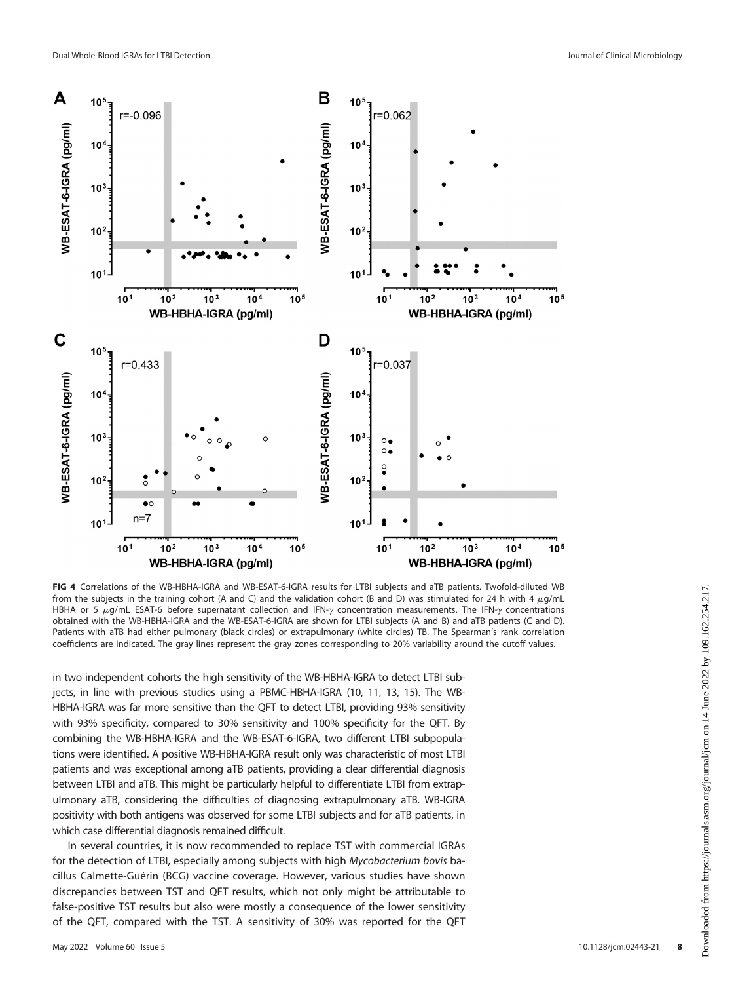

<span id="page-7-0"></span>FIG 4 Correlations of the WB-HBHA-IGRA and WB-ESAT-6-IGRA results for LTBI subjects and aTB patients. Twofold-diluted WB from the subjects in the training cohort (A and C) and the validation cohort (B and D) was stimulated for 24 h with 4  $\mu$ g/mL HBHA or 5  $\mu$ g/mL ESAT-6 before supernatant collection and IFN-y concentration measurements. The IFN-y concentrations obtained with the WB-HBHA-IGRA and the WB-ESAT-6-IGRA are shown for LTBI subjects (A and B) and aTB patients (C and D). Patients with aTB had either pulmonary (black circles) or extrapulmonary (white circles) TB. The Spearman's rank correlation coefficients are indicated. The gray lines represent the gray zones corresponding to 20% variability around the cutoff values.

in two independent cohorts the high sensitivity of the WB-HBHA-IGRA to detect LTBI subjects, in line with previous studies using a PBMC-HBHA-IGRA ([10,](#page-10-9) [11](#page-10-11), [13,](#page-10-10) [15\)](#page-11-1). The WB-HBHA-IGRA was far more sensitive than the QFT to detect LTBI, providing 93% sensitivity with 93% specificity, compared to 30% sensitivity and 100% specificity for the QFT. By combining the WB-HBHA-IGRA and the WB-ESAT-6-IGRA, two different LTBI subpopulations were identified. A positive WB-HBHA-IGRA result only was characteristic of most LTBI patients and was exceptional among aTB patients, providing a clear differential diagnosis between LTBI and aTB. This might be particularly helpful to differentiate LTBI from extrapulmonary aTB, considering the difficulties of diagnosing extrapulmonary aTB. WB-IGRA positivity with both antigens was observed for some LTBI subjects and for aTB patients, in which case differential diagnosis remained difficult.

In several countries, it is now recommended to replace TST with commercial IGRAs for the detection of LTBI, especially among subjects with high Mycobacterium bovis bacillus Calmette-Guérin (BCG) vaccine coverage. However, various studies have shown discrepancies between TST and QFT results, which not only might be attributable to false-positive TST results but also were mostly a consequence of the lower sensitivity of the QFT, compared with the TST. A sensitivity of 30% was reported for the QFT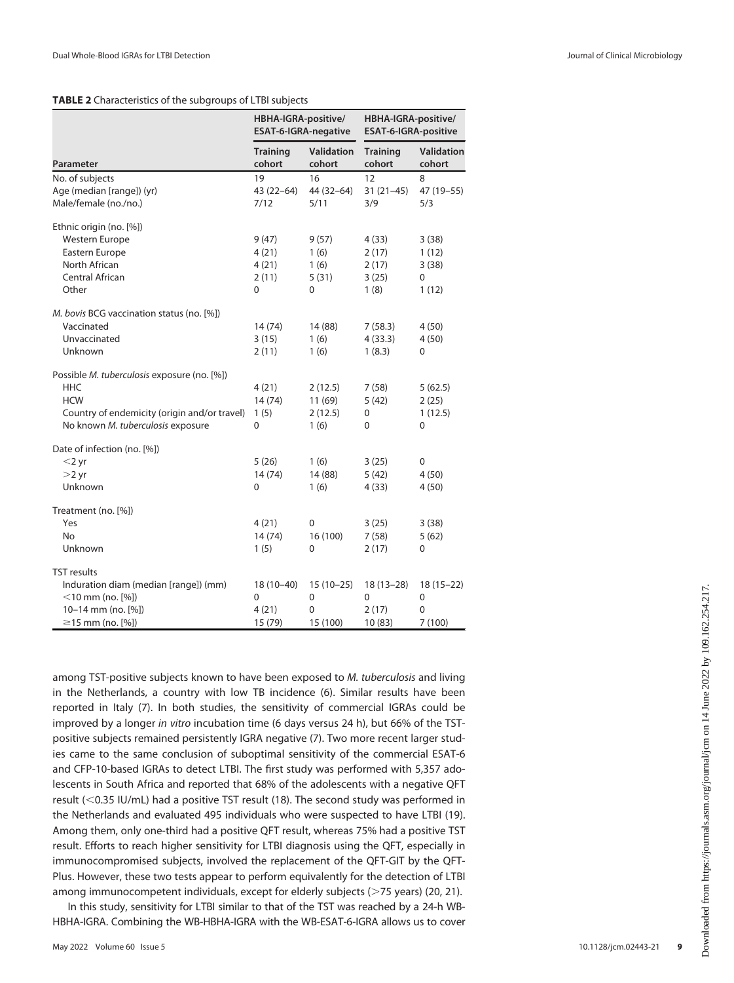## <span id="page-8-0"></span>TABLE 2 Characteristics of the subgroups of LTBI subjects

|                                              | HBHA-IGRA-positive/<br><b>ESAT-6-IGRA-negative</b> |                             | HBHA-IGRA-positive/<br><b>ESAT-6-IGRA-positive</b> |                             |
|----------------------------------------------|----------------------------------------------------|-----------------------------|----------------------------------------------------|-----------------------------|
| Parameter                                    | <b>Training</b><br>cohort                          | <b>Validation</b><br>cohort | <b>Training</b><br>cohort                          | <b>Validation</b><br>cohort |
| No. of subjects                              | 19                                                 | 16                          | 12                                                 | 8                           |
| Age (median [range]) (yr)                    | $43(22-64)$                                        | 44 (32-64)                  | $31(21-45)$                                        | 47 (19 - 55)                |
| Male/female (no./no.)                        | 7/12                                               | 5/11                        | 3/9                                                | 5/3                         |
| Ethnic origin (no. [%])                      |                                                    |                             |                                                    |                             |
| <b>Western Europe</b>                        | 9(47)                                              | 9(57)                       | 4(33)                                              | 3(38)                       |
| Eastern Europe                               | 4(21)                                              | 1(6)                        | 2(17)                                              | 1(12)                       |
| North African                                | 4(21)                                              | 1(6)                        | 2(17)                                              | 3(38)                       |
| Central African                              | 2(11)                                              | 5(31)                       | 3(25)                                              | 0                           |
| Other                                        | 0                                                  | 0                           | 1(8)                                               | 1(12)                       |
| M. bovis BCG vaccination status (no. [%])    |                                                    |                             |                                                    |                             |
| Vaccinated                                   | 14 (74)                                            | 14 (88)                     | 7(58.3)                                            | 4 (50)                      |
| Unvaccinated                                 | 3(15)                                              | 1(6)                        | 4(33.3)                                            | 4(50)                       |
| Unknown                                      | 2(11)                                              | 1(6)                        | 1(8.3)                                             | 0                           |
| Possible M. tuberculosis exposure (no. [%])  |                                                    |                             |                                                    |                             |
| <b>HHC</b>                                   | 4(21)                                              | 2(12.5)                     | 7(58)                                              | 5(62.5)                     |
| <b>HCW</b>                                   | 14 (74)                                            | 11(69)                      | 5(42)                                              | 2(25)                       |
| Country of endemicity (origin and/or travel) | 1(5)                                               | 2(12.5)                     | 0                                                  | 1(12.5)                     |
| No known M. tuberculosis exposure            | 0                                                  | 1(6)                        | 0                                                  | 0                           |
| Date of infection (no. [%])                  |                                                    |                             |                                                    |                             |
| $<$ 2 yr                                     | 5(26)                                              | 1(6)                        | 3(25)                                              | 0                           |
| $>2$ yr                                      | 14 (74)                                            | 14 (88)                     | 5(42)                                              | 4(50)                       |
| Unknown                                      | 0                                                  | 1(6)                        | 4(33)                                              | 4(50)                       |
| Treatment (no. [%])                          |                                                    |                             |                                                    |                             |
| Yes                                          | 4(21)                                              | 0                           | 3(25)                                              | 3(38)                       |
| <b>No</b>                                    | 14 (74)                                            | 16 (100)                    | 7(58)                                              | 5(62)                       |
| Unknown                                      | 1(5)                                               | 0                           | 2(17)                                              | 0                           |
| <b>TST</b> results                           |                                                    |                             |                                                    |                             |
| Induration diam (median [range]) (mm)        | 18 (10-40)                                         | $15(10-25)$                 | $18(13-28)$                                        | $18(15-22)$                 |
| $<$ 10 mm (no. [%])                          | 0                                                  | 0                           | 0                                                  | 0                           |
| 10-14 mm (no. [%])                           | 4(21)                                              | 0                           | 2(17)                                              | 0                           |
| $≥15$ mm (no. [%])                           | 15 (79)                                            | 15 (100)                    | 10(83)                                             | 7(100)                      |

among TST-positive subjects known to have been exposed to M. tuberculosis and living in the Netherlands, a country with low TB incidence [\(6\)](#page-10-5). Similar results have been reported in Italy ([7](#page-10-6)). In both studies, the sensitivity of commercial IGRAs could be improved by a longer in vitro incubation time (6 days versus 24 h), but 66% of the TSTpositive subjects remained persistently IGRA negative [\(7](#page-10-6)). Two more recent larger studies came to the same conclusion of suboptimal sensitivity of the commercial ESAT-6 and CFP-10-based IGRAs to detect LTBI. The first study was performed with 5,357 adolescents in South Africa and reported that 68% of the adolescents with a negative QFT result  $(<$  0.35 IU/mL) had a positive TST result [\(18](#page-11-4)). The second study was performed in the Netherlands and evaluated 495 individuals who were suspected to have LTBI [\(19\)](#page-11-5). Among them, only one-third had a positive QFT result, whereas 75% had a positive TST result. Efforts to reach higher sensitivity for LTBI diagnosis using the QFT, especially in immunocompromised subjects, involved the replacement of the QFT-GIT by the QFT-Plus. However, these two tests appear to perform equivalently for the detection of LTBI among immunocompetent individuals, except for elderly subjects ( $>$ 75 years) ([20,](#page-11-6) [21](#page-11-7)).

In this study, sensitivity for LTBI similar to that of the TST was reached by a 24-h WB-HBHA-IGRA. Combining the WB-HBHA-IGRA with the WB-ESAT-6-IGRA allows us to cover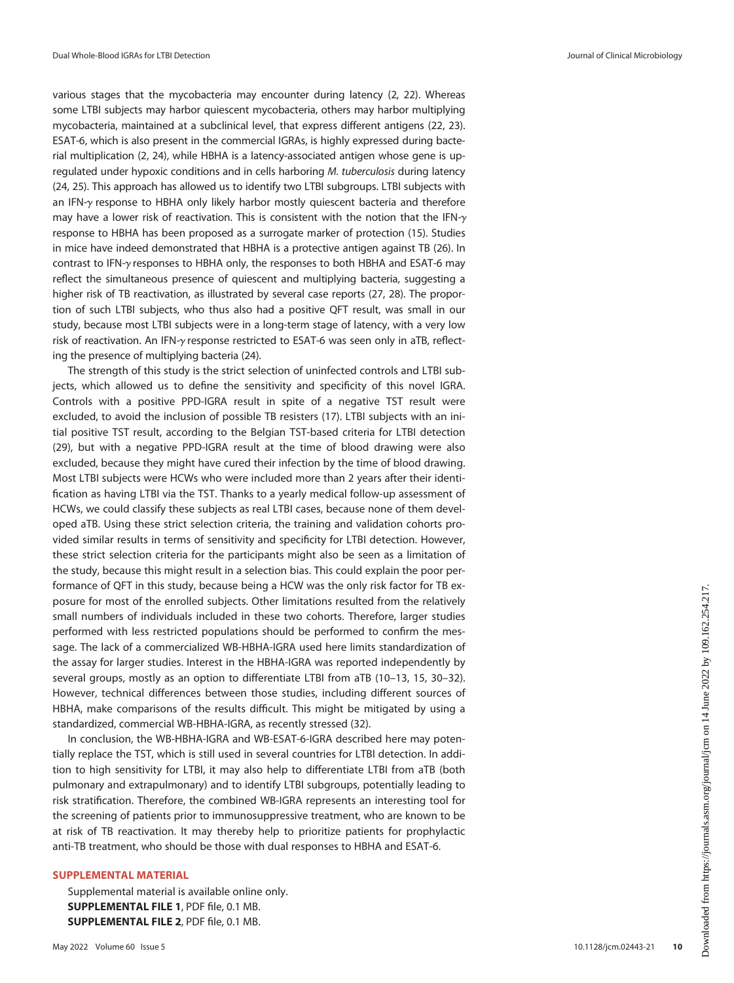various stages that the mycobacteria may encounter during latency ([2](#page-10-1), [22\)](#page-11-8). Whereas some LTBI subjects may harbor quiescent mycobacteria, others may harbor multiplying mycobacteria, maintained at a subclinical level, that express different antigens ([22,](#page-11-8) [23\)](#page-11-9). ESAT-6, which is also present in the commercial IGRAs, is highly expressed during bacterial multiplication [\(2,](#page-10-1) [24](#page-11-10)), while HBHA is a latency-associated antigen whose gene is upregulated under hypoxic conditions and in cells harboring M. tuberculosis during latency [\(24,](#page-11-10) [25\)](#page-11-11). This approach has allowed us to identify two LTBI subgroups. LTBI subjects with an IFN- $\gamma$  response to HBHA only likely harbor mostly quiescent bacteria and therefore may have a lower risk of reactivation. This is consistent with the notion that the IFN- $\gamma$ response to HBHA has been proposed as a surrogate marker of protection ([15\)](#page-11-1). Studies in mice have indeed demonstrated that HBHA is a protective antigen against TB [\(26](#page-11-12)). In contrast to IFN-y responses to HBHA only, the responses to both HBHA and ESAT-6 may reflect the simultaneous presence of quiescent and multiplying bacteria, suggesting a higher risk of TB reactivation, as illustrated by several case reports [\(27](#page-11-13), [28](#page-11-14)). The proportion of such LTBI subjects, who thus also had a positive QFT result, was small in our study, because most LTBI subjects were in a long-term stage of latency, with a very low risk of reactivation. An IFN-y response restricted to ESAT-6 was seen only in aTB, reflecting the presence of multiplying bacteria ([24](#page-11-10)).

The strength of this study is the strict selection of uninfected controls and LTBI subjects, which allowed us to define the sensitivity and specificity of this novel IGRA. Controls with a positive PPD-IGRA result in spite of a negative TST result were excluded, to avoid the inclusion of possible TB resisters [\(17](#page-11-3)). LTBI subjects with an initial positive TST result, according to the Belgian TST-based criteria for LTBI detection ([29\)](#page-11-15), but with a negative PPD-IGRA result at the time of blood drawing were also excluded, because they might have cured their infection by the time of blood drawing. Most LTBI subjects were HCWs who were included more than 2 years after their identification as having LTBI via the TST. Thanks to a yearly medical follow-up assessment of HCWs, we could classify these subjects as real LTBI cases, because none of them developed aTB. Using these strict selection criteria, the training and validation cohorts provided similar results in terms of sensitivity and specificity for LTBI detection. However, these strict selection criteria for the participants might also be seen as a limitation of the study, because this might result in a selection bias. This could explain the poor performance of QFT in this study, because being a HCW was the only risk factor for TB exposure for most of the enrolled subjects. Other limitations resulted from the relatively small numbers of individuals included in these two cohorts. Therefore, larger studies performed with less restricted populations should be performed to confirm the message. The lack of a commercialized WB-HBHA-IGRA used here limits standardization of the assay for larger studies. Interest in the HBHA-IGRA was reported independently by several groups, mostly as an option to differentiate LTBI from aTB ([10](#page-10-9)–[13,](#page-10-10) [15,](#page-11-1) [30](#page-11-16)[–](#page-11-17)[32\)](#page-11-18). However, technical differences between those studies, including different sources of HBHA, make comparisons of the results difficult. This might be mitigated by using a standardized, commercial WB-HBHA-IGRA, as recently stressed [\(32](#page-11-18)).

In conclusion, the WB-HBHA-IGRA and WB-ESAT-6-IGRA described here may potentially replace the TST, which is still used in several countries for LTBI detection. In addition to high sensitivity for LTBI, it may also help to differentiate LTBI from aTB (both pulmonary and extrapulmonary) and to identify LTBI subgroups, potentially leading to risk stratification. Therefore, the combined WB-IGRA represents an interesting tool for the screening of patients prior to immunosuppressive treatment, who are known to be at risk of TB reactivation. It may thereby help to prioritize patients for prophylactic anti-TB treatment, who should be those with dual responses to HBHA and ESAT-6.

## SUPPLEMENTAL MATERIAL

Supplemental material is available online only. SUPPLEMENTAL FILE 1, PDF file, 0.1 MB. SUPPLEMENTAL FILE 2, PDF file, 0.1 MB.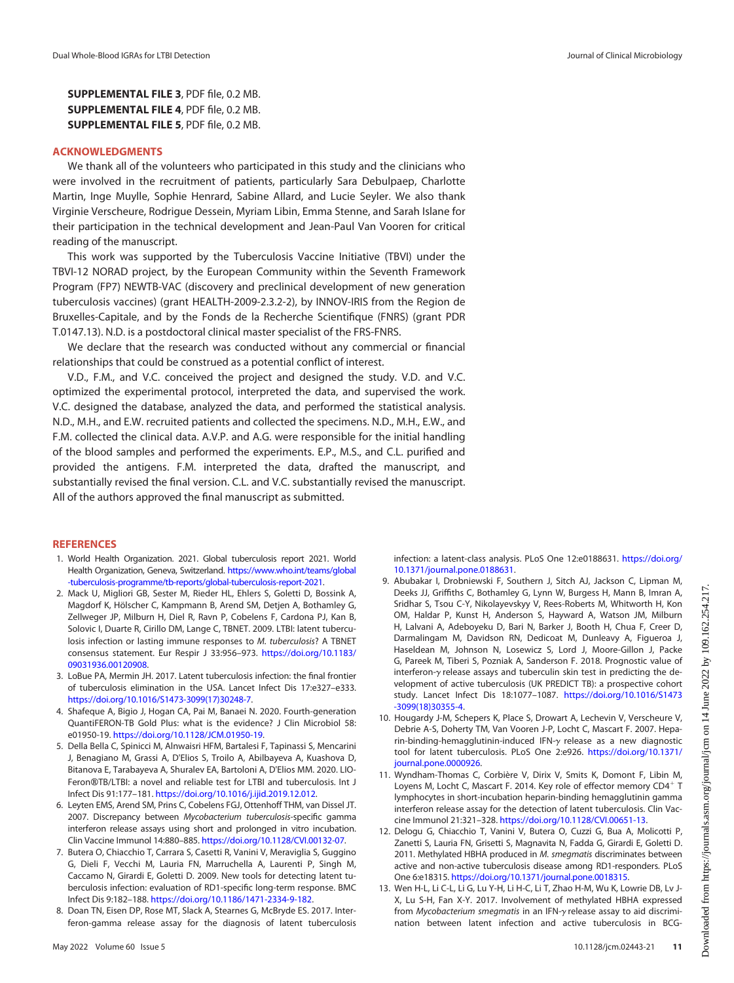SUPPLEMENTAL FILE 3, PDF file, 0.2 MB. SUPPLEMENTAL FILE 4, PDF file, 0.2 MB. SUPPLEMENTAL FILE 5, PDF file, 0.2 MB.

# ACKNOWLEDGMENTS

We thank all of the volunteers who participated in this study and the clinicians who were involved in the recruitment of patients, particularly Sara Debulpaep, Charlotte Martin, Inge Muylle, Sophie Henrard, Sabine Allard, and Lucie Seyler. We also thank Virginie Verscheure, Rodrigue Dessein, Myriam Libin, Emma Stenne, and Sarah Islane for their participation in the technical development and Jean-Paul Van Vooren for critical reading of the manuscript.

This work was supported by the Tuberculosis Vaccine Initiative (TBVI) under the TBVI-12 NORAD project, by the European Community within the Seventh Framework Program (FP7) NEWTB-VAC (discovery and preclinical development of new generation tuberculosis vaccines) (grant HEALTH-2009-2.3.2-2), by INNOV-IRIS from the Region de Bruxelles-Capitale, and by the Fonds de la Recherche Scientifique (FNRS) (grant PDR T.0147.13). N.D. is a postdoctoral clinical master specialist of the FRS-FNRS.

We declare that the research was conducted without any commercial or financial relationships that could be construed as a potential conflict of interest.

V.D., F.M., and V.C. conceived the project and designed the study. V.D. and V.C. optimized the experimental protocol, interpreted the data, and supervised the work. V.C. designed the database, analyzed the data, and performed the statistical analysis. N.D., M.H., and E.W. recruited patients and collected the specimens. N.D., M.H., E.W., and F.M. collected the clinical data. A.V.P. and A.G. were responsible for the initial handling of the blood samples and performed the experiments. E.P., M.S., and C.L. purified and provided the antigens. F.M. interpreted the data, drafted the manuscript, and substantially revised the final version. C.L. and V.C. substantially revised the manuscript. All of the authors approved the final manuscript as submitted.

#### **REFERENCES**

- <span id="page-10-0"></span>1. World Health Organization. 2021. Global tuberculosis report 2021. World Health Organization, Geneva, Switzerland. [https://www.who.int/teams/global](https://www.who.int/teams/global-tuberculosis-programme/tb-reports/global-tuberculosis-report-2021) [-tuberculosis-programme/tb-reports/global-tuberculosis-report-2021](https://www.who.int/teams/global-tuberculosis-programme/tb-reports/global-tuberculosis-report-2021).
- <span id="page-10-1"></span>2. Mack U, Migliori GB, Sester M, Rieder HL, Ehlers S, Goletti D, Bossink A, Magdorf K, Hölscher C, Kampmann B, Arend SM, Detjen A, Bothamley G, Zellweger JP, Milburn H, Diel R, Ravn P, Cobelens F, Cardona PJ, Kan B, Solovic I, Duarte R, Cirillo DM, Lange C, TBNET. 2009. LTBI: latent tuberculosis infection or lasting immune responses to M. tuberculosis? A TBNET consensus statement. Eur Respir J 33:956–973. [https://doi.org/10.1183/](https://doi.org/10.1183/09031936.00120908) [09031936.00120908](https://doi.org/10.1183/09031936.00120908).
- <span id="page-10-2"></span>3. LoBue PA, Mermin JH. 2017. Latent tuberculosis infection: the final frontier of tuberculosis elimination in the USA. Lancet Infect Dis 17:e327–e333. [https://doi.org/10.1016/S1473-3099\(17\)30248-7](https://doi.org/10.1016/S1473-3099(17)30248-7).
- <span id="page-10-3"></span>4. Shafeque A, Bigio J, Hogan CA, Pai M, Banaei N. 2020. Fourth-generation QuantiFERON-TB Gold Plus: what is the evidence? J Clin Microbiol 58: e01950-19. <https://doi.org/10.1128/JCM.01950-19>.
- <span id="page-10-4"></span>5. Della Bella C, Spinicci M, Alnwaisri HFM, Bartalesi F, Tapinassi S, Mencarini J, Benagiano M, Grassi A, D'Elios S, Troilo A, Abilbayeva A, Kuashova D, Bitanova E, Tarabayeva A, Shuralev EA, Bartoloni A, D'Elios MM. 2020. LIO-Feron®TB/LTBI: a novel and reliable test for LTBI and tuberculosis. Int J Infect Dis 91:177–181. [https://doi.org/10.1016/j.ijid.2019.12.012.](https://doi.org/10.1016/j.ijid.2019.12.012)
- <span id="page-10-5"></span>6. Leyten EMS, Arend SM, Prins C, Cobelens FGJ, Ottenhoff THM, van Dissel JT. 2007. Discrepancy between Mycobacterium tuberculosis-specific gamma interferon release assays using short and prolonged in vitro incubation. Clin Vaccine Immunol 14:880–885. [https://doi.org/10.1128/CVI.00132-07.](https://doi.org/10.1128/CVI.00132-07)
- <span id="page-10-6"></span>7. Butera O, Chiacchio T, Carrara S, Casetti R, Vanini V, Meraviglia S, Guggino G, Dieli F, Vecchi M, Lauria FN, Marruchella A, Laurenti P, Singh M, Caccamo N, Girardi E, Goletti D. 2009. New tools for detecting latent tuberculosis infection: evaluation of RD1-specific long-term response. BMC Infect Dis 9:182–188. [https://doi.org/10.1186/1471-2334-9-182.](https://doi.org/10.1186/1471-2334-9-182)
- <span id="page-10-7"></span>8. Doan TN, Eisen DP, Rose MT, Slack A, Stearnes G, McBryde ES. 2017. Interferon-gamma release assay for the diagnosis of latent tuberculosis

infection: a latent-class analysis. PLoS One 12:e0188631. [https://doi.org/](https://doi.org/10.1371/journal.pone.0188631) [10.1371/journal.pone.0188631.](https://doi.org/10.1371/journal.pone.0188631)

- <span id="page-10-8"></span>9. Abubakar I, Drobniewski F, Southern J, Sitch AJ, Jackson C, Lipman M, Deeks JJ, Griffiths C, Bothamley G, Lynn W, Burgess H, Mann B, Imran A, Sridhar S, Tsou C-Y, Nikolayevskyy V, Rees-Roberts M, Whitworth H, Kon OM, Haldar P, Kunst H, Anderson S, Hayward A, Watson JM, Milburn H, Lalvani A, Adeboyeku D, Bari N, Barker J, Booth H, Chua F, Creer D, Darmalingam M, Davidson RN, Dedicoat M, Dunleavy A, Figueroa J, Haseldean M, Johnson N, Losewicz S, Lord J, Moore-Gillon J, Packe G, Pareek M, Tiberi S, Pozniak A, Sanderson F. 2018. Prognostic value of interferon- $\gamma$  release assays and tuberculin skin test in predicting the development of active tuberculosis (UK PREDICT TB): a prospective cohort study. Lancet Infect Dis 18:1077–1087. [https://doi.org/10.1016/S1473](https://doi.org/10.1016/S1473-3099(18)30355-4) [-3099\(18\)30355-4](https://doi.org/10.1016/S1473-3099(18)30355-4).
- <span id="page-10-9"></span>10. Hougardy J-M, Schepers K, Place S, Drowart A, Lechevin V, Verscheure V, Debrie A-S, Doherty TM, Van Vooren J-P, Locht C, Mascart F. 2007. Heparin-binding-hemagglutinin-induced IFN- $\gamma$  release as a new diagnostic tool for latent tuberculosis. PLoS One 2:e926. [https://doi.org/10.1371/](https://doi.org/10.1371/journal.pone.0000926) [journal.pone.0000926.](https://doi.org/10.1371/journal.pone.0000926)
- <span id="page-10-11"></span>11. Wyndham-Thomas C, Corbière V, Dirix V, Smits K, Domont F, Libin M, Loyens M, Locht C, Mascart F. 2014. Key role of effector memory CD4<sup>+</sup> T lymphocytes in short-incubation heparin-binding hemagglutinin gamma interferon release assay for the detection of latent tuberculosis. Clin Vaccine Immunol 21:321–328. [https://doi.org/10.1128/CVI.00651-13.](https://doi.org/10.1128/CVI.00651-13)
- 12. Delogu G, Chiacchio T, Vanini V, Butera O, Cuzzi G, Bua A, Molicotti P, Zanetti S, Lauria FN, Grisetti S, Magnavita N, Fadda G, Girardi E, Goletti D. 2011. Methylated HBHA produced in M. smegmatis discriminates between active and non-active tuberculosis disease among RD1-responders. PLoS One 6:e18315. <https://doi.org/10.1371/journal.pone.0018315>.
- <span id="page-10-10"></span>13. Wen H-L, Li C-L, Li G, Lu Y-H, Li H-C, Li T, Zhao H-M, Wu K, Lowrie DB, Lv J-X, Lu S-H, Fan X-Y. 2017. Involvement of methylated HBHA expressed from Mycobacterium smegmatis in an IFN- $\gamma$  release assay to aid discrimination between latent infection and active tuberculosis in BCG-